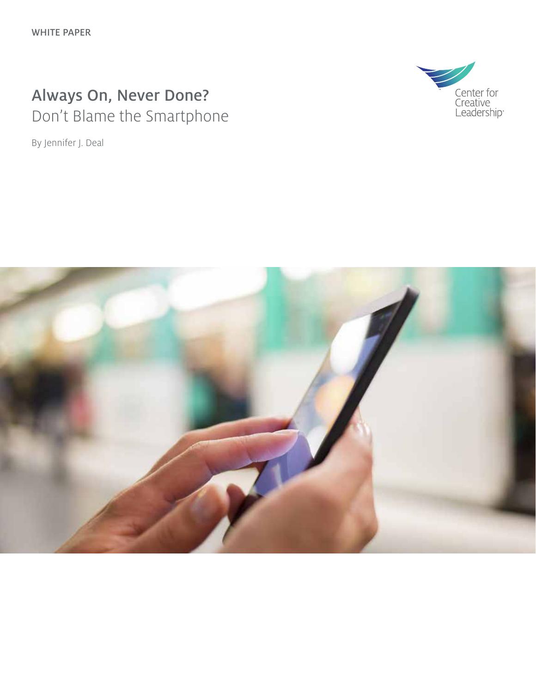## Always On, Never Done? Don't Blame the Smartphone

By Jennifer J. Deal



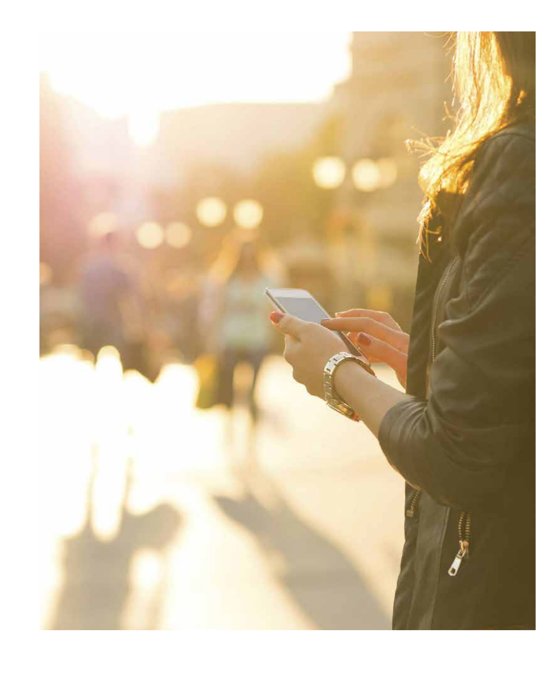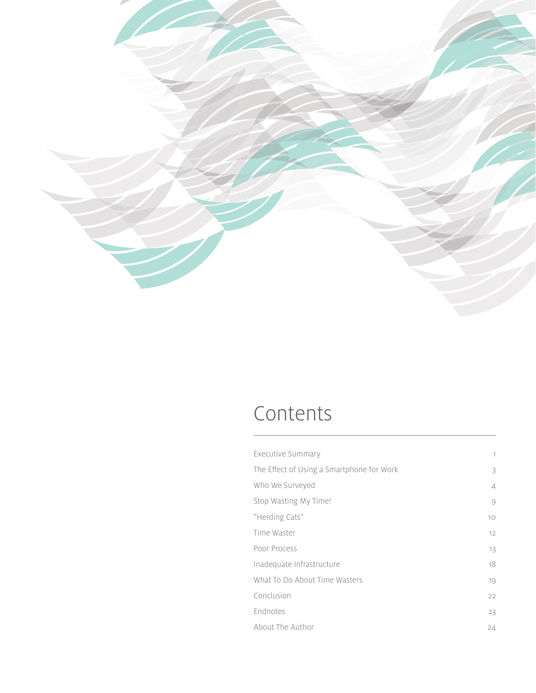

# Contents

| <b>Executive Summary</b>                  | 1              |
|-------------------------------------------|----------------|
| The Effect of Using a Smartphone for Work | 3              |
| Who We Surveyed                           | $\overline{4}$ |
| Stop Wasting My Time!                     | $\circ$        |
| "Herding Cats"                            | 10             |
| Time Waster                               | 12             |
| Poor Process                              | 13             |
| Inadequate Infrastructure                 | 18             |
| What To Do About Time Wasters             | 19             |
| Conclusion                                | 22             |
| Endnotes                                  | 23             |
| About The Author                          | 24             |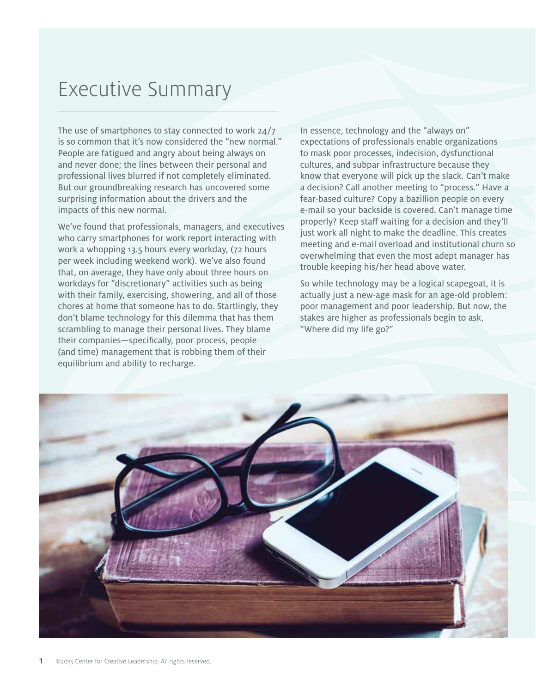## Executive Summary

The use of smartphones to stay connected to work 24/7 is so common that it's now considered the "new normal." People are fatigued and angry about being always on and never done; the lines between their personal and professional lives blurred if not completely eliminated. But our groundbreaking research has uncovered some surprising information about the drivers and the impacts of this new normal.

We've found that professionals, managers, and executives who carry smartphones for work report interacting with work a whopping 13.5 hours every workday, (72 hours per week including weekend work). We've also found that, on average, they have only about three hours on workdays for "discretionary" activities such as being with their family, exercising, showering, and all of those chores at home that someone has to do. Startlingly, they don't blame technology for this dilemma that has them scrambling to manage their personal lives. They blame their companies—specifically, poor process, people (and time) management that is robbing them of their equilibrium and ability to recharge.

In essence, technology and the "always on" expectations of professionals enable organizations to mask poor processes, indecision, dysfunctional cultures, and subpar infrastructure because they know that everyone will pick up the slack. Can't make a decision? Call another meeting to "process." Have a fear-based culture? Copy a bazillion people on every e-mail so your backside is covered. Can't manage time properly? Keep staff waiting for a decision and they'll just work all night to make the deadline. This creates meeting and e-mail overload and institutional churn so overwhelming that even the most adept manager has trouble keeping his/her head above water.

So while technology may be a logical scapegoat, it is actually just a new-age mask for an age-old problem: poor management and poor leadership. But now, the stakes are higher as professionals begin to ask, "Where did my life go?"

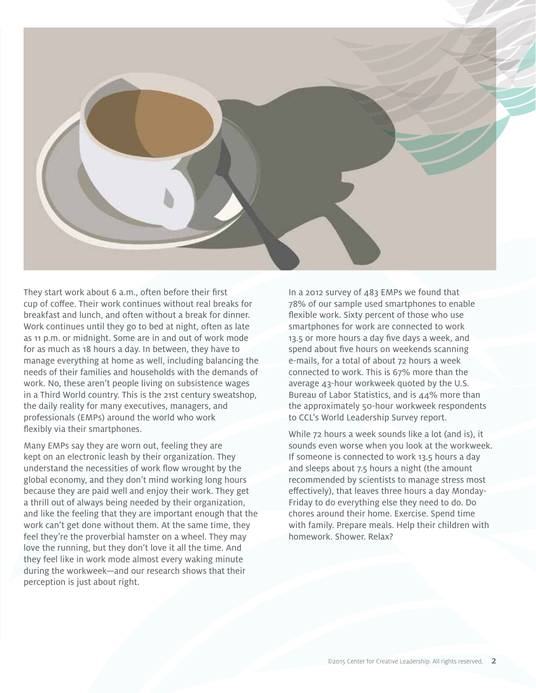

They start work about 6 a.m., often before their first cup of coffee. Their work continues without real breaks for breakfast and lunch, and often without a break for dinner. Work continues until they go to bed at night, often as late as 11 p.m. or midnight. Some are in and out of work mode for as much as 18 hours a day. In between, they have to manage everything at home as well, including balancing the needs of their families and households with the demands of work. No, these aren't people living on subsistence wages in a Third World country. This is the 21st century sweatshop, the daily reality for many executives, managers, and professionals (EMPs) around the world who work flexibly via their smartphones.

Many EMPs say they are worn out, feeling they are kept on an electronic leash by their organization. They understand the necessities of work flow wrought by the global economy, and they don't mind working long hours because they are paid well and enjoy their work. They get a thrill out of always being needed by their organization, and like the feeling that they are important enough that the work can't get done without them. At the same time, they feel they're the proverbial hamster on a wheel. They may love the running, but they don't love it all the time. And they feel like in work mode almost every waking minute during the workweek—and our research shows that their perception is just about right.

In a 2012 survey of 483 EMPs we found that 78% of our sample used smartphones to enable flexible work. Sixty percent of those who use smartphones for work are connected to work 13.5 or more hours a day five days a week, and spend about five hours on weekends scanning e-mails, for a total of about 72 hours a week connected to work. This is 67% more than the average 43-hour workweek quoted by the U.S. Bureau of Labor Statistics, and is 44% more than the approximately 50-hour workweek respondents to CCL's World Leadership Survey report.

While 72 hours a week sounds like a lot (and is), it sounds even worse when you look at the workweek. If someone is connected to work 13.5 hours a day and sleeps about 7.5 hours a night (the amount recommended by scientists to manage stress most effectively), that leaves three hours a day Monday-Friday to do everything else they need to do. Do chores around their home. Exercise. Spend time with family. Prepare meals. Help their children with homework. Shower. Relax?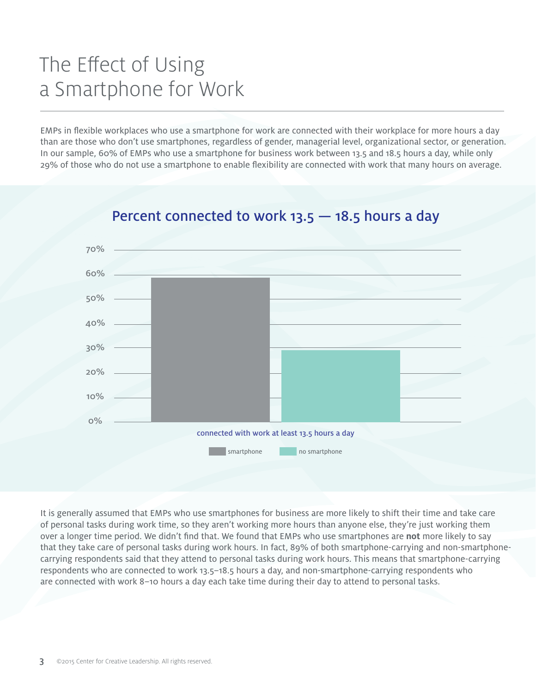# The Effect of Using a Smartphone for Work

EMPs in flexible workplaces who use a smartphone for work are connected with their workplace for more hours a day than are those who don't use smartphones, regardless of gender, managerial level, organizational sector, or generation. In our sample, 60% of EMPs who use a smartphone for business work between 13.5 and 18.5 hours a day, while only 29% of those who do not use a smartphone to enable flexibility are connected with work that many hours on average.



## Percent connected to work  $13.5 - 18.5$  hours a day

It is generally assumed that EMPs who use smartphones for business are more likely to shift their time and take care of personal tasks during work time, so they aren't working more hours than anyone else, they're just working them over a longer time period. We didn't find that. We found that EMPs who use smartphones are **not** more likely to say that they take care of personal tasks during work hours. In fact, 89% of both smartphone-carrying and non-smartphonecarrying respondents said that they attend to personal tasks during work hours. This means that smartphone-carrying respondents who are connected to work 13.5–18.5 hours a day, and non-smartphone-carrying respondents who are connected with work 8–10 hours a day each take time during their day to attend to personal tasks.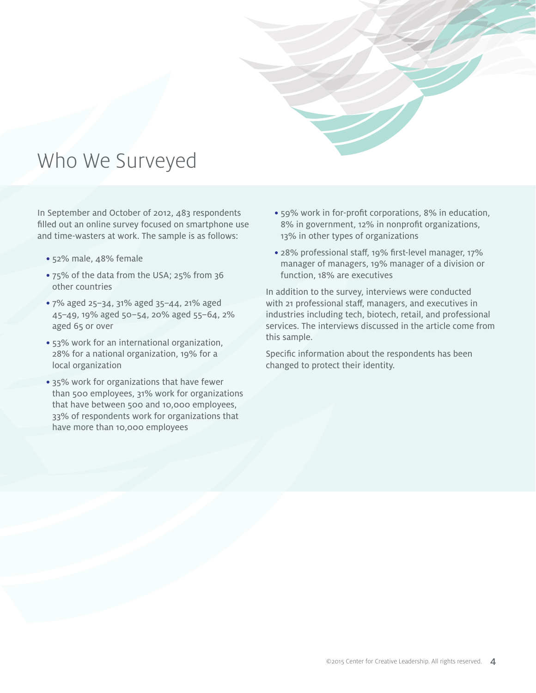## Who We Surveyed

In September and October of 2012, 483 respondents filled out an online survey focused on smartphone use and time-wasters at work. The sample is as follows:

- 52% male, 48% female
- 75% of the data from the USA; 25% from 36 other countries
- 7% aged 25–34, 31% aged 35–44, 21% aged 45–49, 19% aged 50–54, 20% aged 55–64, 2% aged 65 or over
- 53% work for an international organization, 28% for a national organization, 19% for a local organization
- 35% work for organizations that have fewer than 500 employees, 31% work for organizations that have between 500 and 10,000 employees, 33% of respondents work for organizations that have more than 10,000 employees
- 59% work in for-profit corporations, 8% in education, 8% in government, 12% in nonprofit organizations, 13% in other types of organizations
- 28% professional staff, 19% first-level manager, 17% manager of managers, 19% manager of a division or function, 18% are executives

In addition to the survey, interviews were conducted with 21 professional staff, managers, and executives in industries including tech, biotech, retail, and professional services. The interviews discussed in the article come from this sample.

Specific information about the respondents has been changed to protect their identity.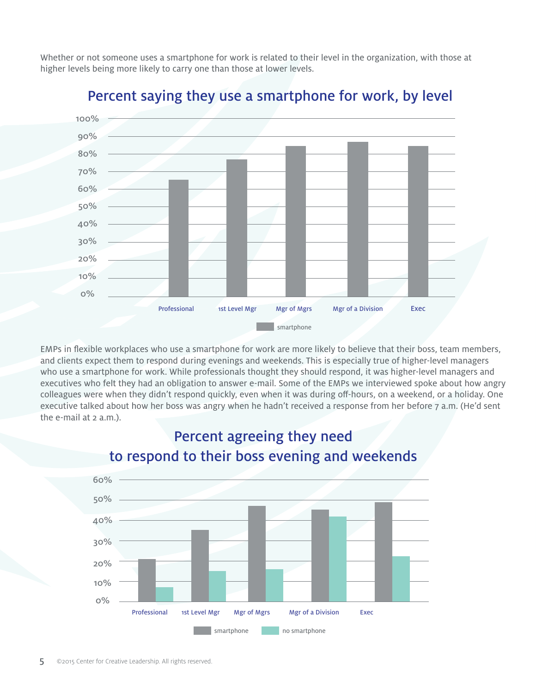Whether or not someone uses a smartphone for work is related to their level in the organization, with those at higher levels being more likely to carry one than those at lower levels.



## Percent saying they use a smartphone for work, by level

EMPs in flexible workplaces who use a smartphone for work are more likely to believe that their boss, team members, and clients expect them to respond during evenings and weekends. This is especially true of higher-level managers who use a smartphone for work. While professionals thought they should respond, it was higher-level managers and executives who felt they had an obligation to answer e-mail. Some of the EMPs we interviewed spoke about how angry colleagues were when they didn't respond quickly, even when it was during off-hours, on a weekend, or a holiday. One executive talked about how her boss was angry when he hadn't received a response from her before 7 a.m. (He'd sent the e-mail at 2 a.m.).



## Percent agreeing they need to respond to their boss evening and weekends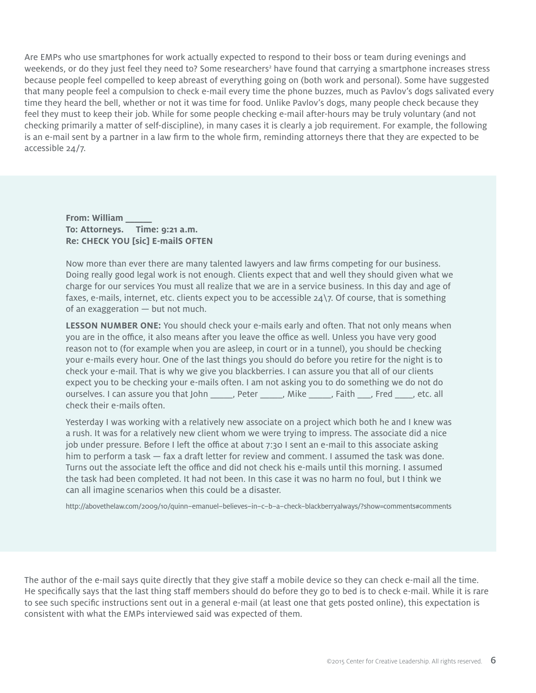Are EMPs who use smartphones for work actually expected to respond to their boss or team during evenings and weekends, or do they just feel they need to? Some researchers<sup>2</sup> have found that carrying a smartphone increases stress because people feel compelled to keep abreast of everything going on (both work and personal). Some have suggested that many people feel a compulsion to check e-mail every time the phone buzzes, much as Pavlov's dogs salivated every time they heard the bell, whether or not it was time for food. Unlike Pavlov's dogs, many people check because they feel they must to keep their job. While for some people checking e-mail after-hours may be truly voluntary (and not checking primarily a matter of self-discipline), in many cases it is clearly a job requirement. For example, the following is an e-mail sent by a partner in a law firm to the whole firm, reminding attorneys there that they are expected to be accessible 24/7.

**From: William \_\_\_\_\_\_ To: Attorneys. Time: 9:21 a.m. Re: CHECK YOU [sic] E-mailS OFTEN**

Now more than ever there are many talented lawyers and law firms competing for our business. Doing really good legal work is not enough. Clients expect that and well they should given what we charge for our services You must all realize that we are in a service business. In this day and age of faxes, e-mails, internet, etc. clients expect you to be accessible  $24\sqrt{7}$ . Of course, that is something of an exaggeration — but not much.

**LESSON NUMBER ONE:** You should check your e-mails early and often. That not only means when you are in the office, it also means after you leave the office as well. Unless you have very good reason not to (for example when you are asleep, in court or in a tunnel), you should be checking your e-mails every hour. One of the last things you should do before you retire for the night is to check your e-mail. That is why we give you blackberries. I can assure you that all of our clients expect you to be checking your e-mails often. I am not asking you to do something we do not do ourselves. I can assure you that John \_\_\_\_\_, Peter \_\_\_\_\_, Mike \_\_\_\_\_, Faith \_\_\_, Fred \_\_\_\_\_, etc. all check their e-mails often.

Yesterday I was working with a relatively new associate on a project which both he and I knew was a rush. It was for a relatively new client whom we were trying to impress. The associate did a nice job under pressure. Before I left the office at about 7:30 I sent an e-mail to this associate asking him to perform a task — fax a draft letter for review and comment. I assumed the task was done. Turns out the associate left the office and did not check his e-mails until this morning. I assumed the task had been completed. It had not been. In this case it was no harm no foul, but I think we can all imagine scenarios when this could be a disaster.

http://abovethelaw.com/2009/10/quinn–emanuel–believes–in–c–b–a–check–blackberryalways/?show=comments#comments

The author of the e-mail says quite directly that they give staff a mobile device so they can check e-mail all the time. He specifically says that the last thing staff members should do before they go to bed is to check e-mail. While it is rare to see such specific instructions sent out in a general e-mail (at least one that gets posted online), this expectation is consistent with what the EMPs interviewed said was expected of them.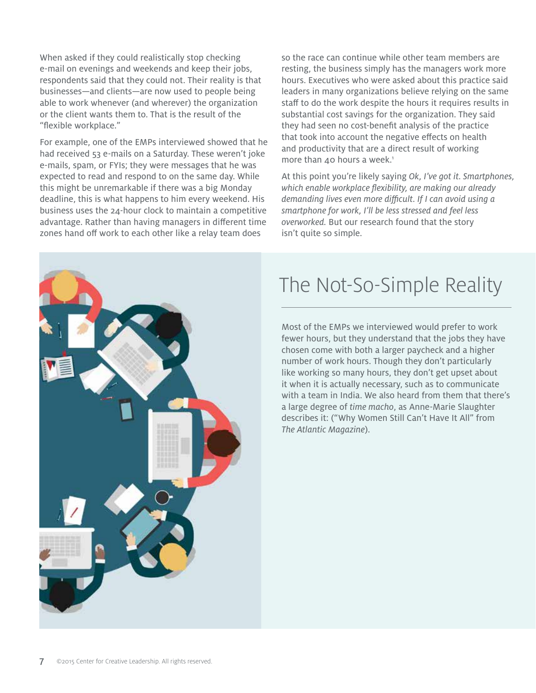When asked if they could realistically stop checking e-mail on evenings and weekends and keep their jobs, respondents said that they could not. Their reality is that businesses—and clients—are now used to people being able to work whenever (and wherever) the organization or the client wants them to. That is the result of the " flexible workplace."

For example, one of the EMPs interviewed showed that he had received 53 e-mails on a Saturday. These weren't joke e-mails, spam, or FYIs; they were messages that he was expected to read and respond to on the same day. While this might be unremarkable if there was a big Monday deadline, this is what happens to him every weekend. His business uses the 24-hour clock to maintain a competitive advantage. Rather than having managers in different time zones hand off work to each other like a relay team does

so the race can continue while other team members are resting, the business simply has the managers work more hours. Executives who were asked about this practice said leaders in many organizations believe relying on the same staff to do the work despite the hours it requires results in substantial cost savings for the organization. They said they had seen no cost-benefit analysis of the practice that took into account the negative effects on health and productivity that are a direct result of working more than 40 hours a week.<sup>1</sup>

At this point you're likely saying *Ok, I've got it. Smartphones,*  which enable workplace flexibility, are making our already demanding lives even more difficult. If I can avoid using a *smartphone for work, I'll be less stressed and feel less overworked.* But our research found that the story isn't quite so simple.



# The Not-So-Simple Reality

Most of the EMPs we interviewed would prefer to work fewer hours, but they understand that the jobs they have chosen come with both a larger paycheck and a higher number of work hours. Though they don't particularly like working so many hours, they don't get upset about it when it is actually necessary, such as to communicate with a team in India. We also heard from them that there's a large degree of *time macho*, as Anne-Marie Slaughter describes it: ("Why Women Still Can't Have It All" from *The Atlantic Magazine*).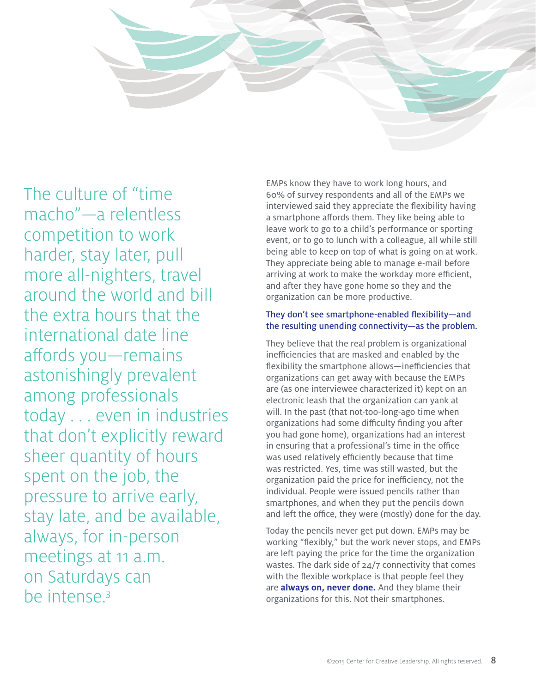

EMPs know they have to work long hours, and 60% of survey respondents and all of the EMPs we interviewed said they appreciate the flexibility having a smartphone affords them. They like being able to leave work to go to a child's performance or sporting event, or to go to lunch with a colleague, all while still being able to keep on top of what is going on at work. They appreciate being able to manage e-mail before arriving at work to make the workday more efficient, and after they have gone home so they and the organization can be more productive.

#### They don't see smartphone-enabled flexibility—and the resulting unending connectivity—as the problem.

They believe that the real problem is organizational inefficiencies that are masked and enabled by the flexibility the smartphone allows—ine fficiencies that organizations can get away with because the EMPs are (as one interviewee characterized it) kept on an electronic leash that the organization can yank at will. In the past (that not-too-long-ago time when organizations had some difficulty finding you after you had gone home), organizations had an interest in ensuring that a professional's time in the office was used relatively efficiently because that time was restricted. Yes, time was still wasted, but the organization paid the price for inefficiency, not the individual. People were issued pencils rather than smartphones, and when they put the pencils down and left the office, they were (mostly) done for the day.

Today the pencils never get put down. EMPs may be working "flexibly," but the work never stops, and EMPs are left paying the price for the time the organization wastes. The dark side of 24/7 connectivity that comes with the flexible workplace is that people feel they are **always on, never done.** And they blame their organizations for this. Not their smartphones.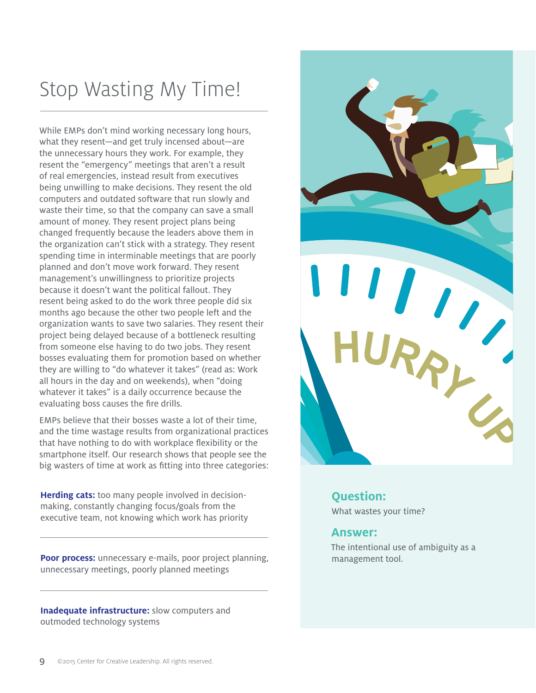# Stop Wasting My Time!

While EMPs don't mind working necessary long hours, what they resent—and get truly incensed about—are the unnecessary hours they work. For example, they resent the "emergency" meetings that aren't a result of real emergencies, instead result from executives being unwilling to make decisions. They resent the old computers and outdated software that run slowly and waste their time, so that the company can save a small amount of money. They resent project plans being changed frequently because the leaders above them in the organization can't stick with a strategy. They resent spending time in interminable meetings that are poorly planned and don't move work forward. They resent management's unwillingness to prioritize projects because it doesn't want the political fallout. They resent being asked to do the work three people did six months ago because the other two people left and the organization wants to save two salaries. They resent their project being delayed because of a bottleneck resulting from someone else having to do two jobs. They resent bosses evaluating them for promotion based on whether they are willing to "do whatever it takes" (read as: Work all hours in the day and on weekends), when "doing whatever it takes" is a daily occurrence because the evaluating boss causes the fire drills.

EMPs believe that their bosses waste a lot of their time, and the time wastage results from organizational practices that have nothing to do with workplace flexibility or the smartphone itself. Our research shows that people see the big wasters of time at work as fitting into three categories:

**Herding cats:** too many people involved in decisionmaking, constantly changing focus/goals from the executive team, not knowing which work has priority

**Poor process:** unnecessary e-mails, poor project planning, unnecessary meetings, poorly planned meetings

**Inadequate infrastructure:** slow computers and outmoded technology systems



**Question:** What wastes your time?

### **Answer:**

The intentional use of ambiguity as a management tool.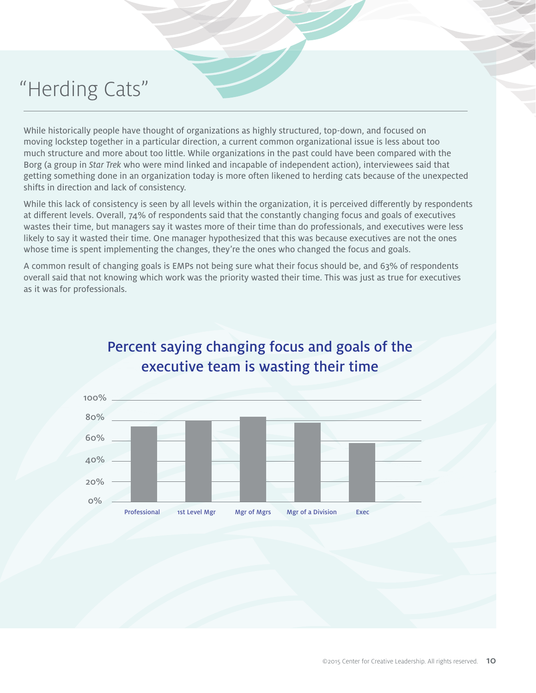# "Herding Cats"

While historically people have thought of organizations as highly structured, top-down, and focused on moving lockstep together in a particular direction, a current common organizational issue is less about too much structure and more about too little. While organizations in the past could have been compared with the Borg (a group in *Star Trek* who were mind linked and incapable of independent action), interviewees said that getting something done in an organization today is more often likened to herding cats because of the unexpected shifts in direction and lack of consistency.

While this lack of consistency is seen by all levels within the organization, it is perceived differently by respondents at different levels. Overall, 74% of respondents said that the constantly changing focus and goals of executives wastes their time, but managers say it wastes more of their time than do professionals, and executives were less likely to say it wasted their time. One manager hypothesized that this was because executives are not the ones whose time is spent implementing the changes, they're the ones who changed the focus and goals.

A common result of changing goals is EMPs not being sure what their focus should be, and 63% of respondents overall said that not knowing which work was the priority wasted their time. This was just as true for executives as it was for professionals.



## Percent saying changing focus and goals of the executive team is wasting their time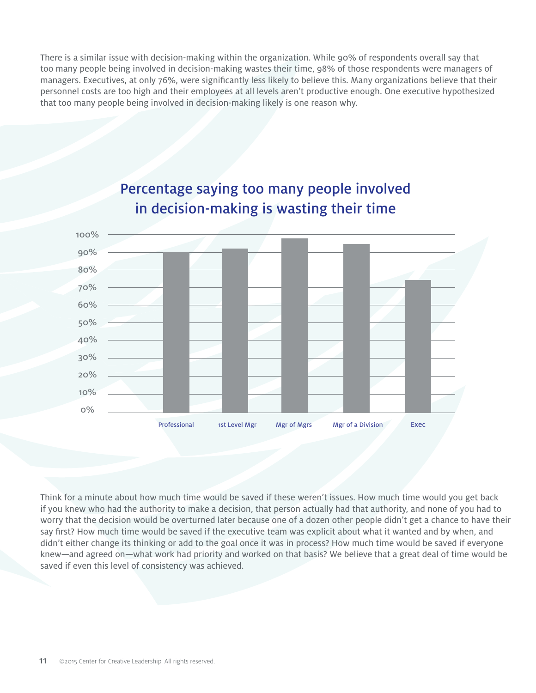There is a similar issue with decision-making within the organization. While 90% of respondents overall say that too many people being involved in decision-making wastes their time, 98% of those respondents were managers of managers. Executives, at only 76%, were significantly less likely to believe this. Many organizations believe that their personnel costs are too high and their employees at all levels aren't productive enough. One executive hypothesized that too many people being involved in decision-making likely is one reason why.



## Percentage saying too many people involved in decision-making is wasting their time

Think for a minute about how much time would be saved if these weren't issues. How much time would you get back if you knew who had the authority to make a decision, that person actually had that authority, and none of you had to worry that the decision would be overturned later because one of a dozen other people didn't get a chance to have their say first? How much time would be saved if the executive team was explicit about what it wanted and by when, and didn't either change its thinking or add to the goal once it was in process? How much time would be saved if everyone knew—and agreed on—what work had priority and worked on that basis? We believe that a great deal of time would be saved if even this level of consistency was achieved.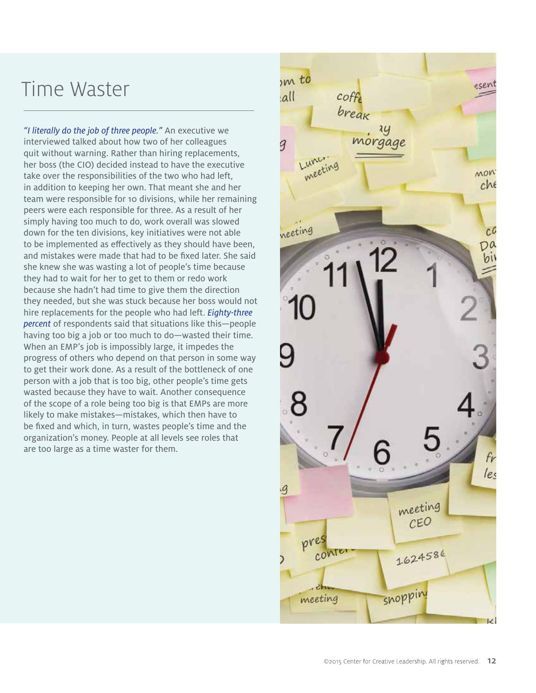## Time Waster

*"I literally do the job of three people."* An executive we interviewed talked about how two of her colleagues quit without warning. Rather than hiring replacements, her boss (the CIO) decided instead to have the executive take over the responsibilities of the two who had left, in addition to keeping her own. That meant she and her team were responsible for 10 divisions, while her remaining peers were each responsible for three. As a result of her simply having too much to do, work overall was slowed down for the ten divisions, key initiatives were not able to be implemented as effectively as they should have been, and mistakes were made that had to be fixed later. She said she knew she was wasting a lot of people's time because they had to wait for her to get to them or redo work because she hadn't had time to give them the direction they needed, but she was stuck because her boss would not hire replacements for the people who had left. *Eighty-three percent* of respondents said that situations like this—people having too big a job or too much to do—wasted their time. When an EMP's job is impossibly large, it impedes the progress of others who depend on that person in some way to get their work done. As a result of the bottleneck of one person with a job that is too big, other people's time gets wasted because they have to wait. Another consequence of the scope of a role being too big is that EMPs are more likely to make mistakes—mistakes, which then have to be fixed and which, in turn, wastes people's time and the organization's money. People at all levels see roles that are too large as a time waster for them.

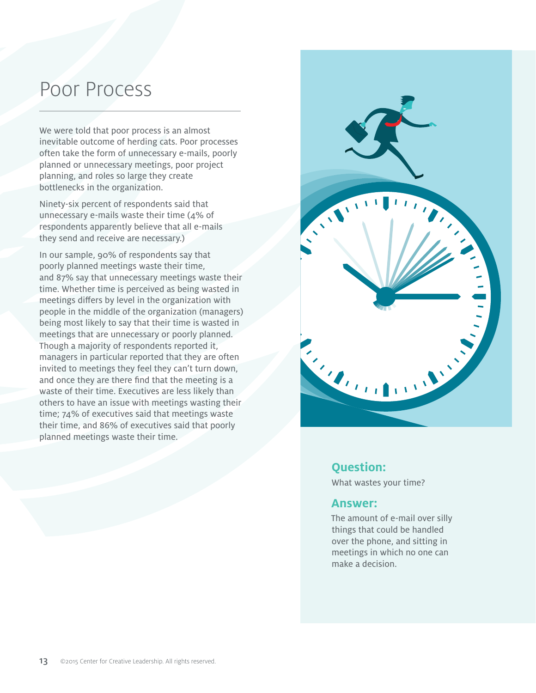## Poor Process

We were told that poor process is an almost inevitable outcome of herding cats. Poor processes often take the form of unnecessary e-mails, poorly planned or unnecessary meetings, poor project planning, and roles so large they create bottlenecks in the organization.

Ninety-six percent of respondents said that unnecessary e-mails waste their time (4% of respondents apparently believe that all e-mails they send and receive are necessary.)

In our sample, 90% of respondents say that poorly planned meetings waste their time, and 87% say that unnecessary meetings waste their time. Whether time is perceived as being wasted in meetings differs by level in the organization with people in the middle of the organization (managers) being most likely to say that their time is wasted in meetings that are unnecessary or poorly planned. Though a majority of respondents reported it, managers in particular reported that they are often invited to meetings they feel they can't turn down, and once they are there find that the meeting is a waste of their time. Executives are less likely than others to have an issue with meetings wasting their time; 74% of executives said that meetings waste their time, and 86% of executives said that poorly planned meetings waste their time.



### **Question:**

What wastes your time?

### **Answer:**

The amount of e-mail over silly things that could be handled over the phone, and sitting in meetings in which no one can make a decision.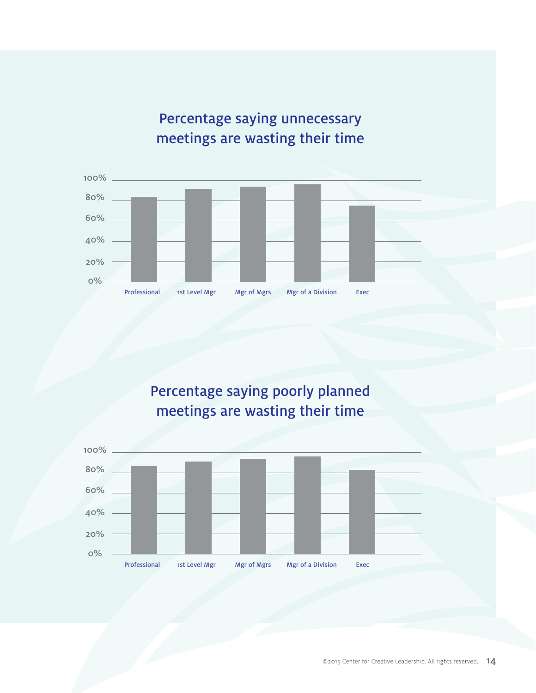## Percentage saying unnecessary meetings are wasting their time



Percentage saying poorly planned meetings are wasting their time

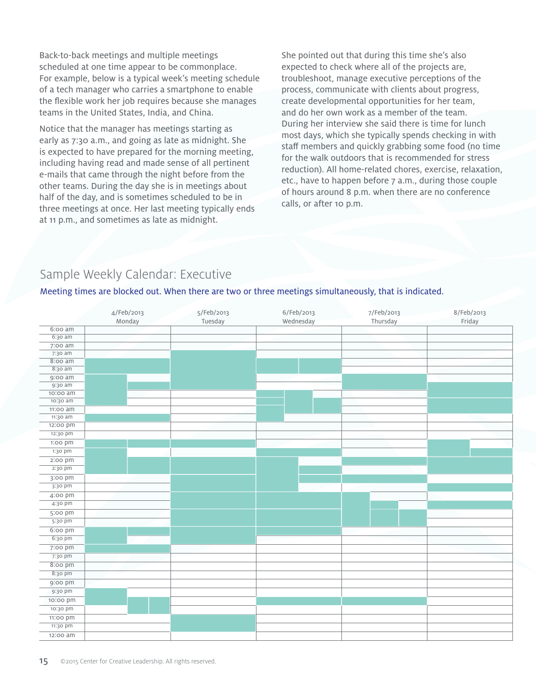Back-to-back meetings and multiple meetings scheduled at one time appear to be commonplace. For example, below is a typical week's meeting schedule of a tech manager who carries a smartphone to enable the flexible work her job requires because she manages teams in the United States, India, and China.

Notice that the manager has meetings starting as early as 7:30 a.m., and going as late as midnight. She is expected to have prepared for the morning meeting, including having read and made sense of all pertinent e-mails that came through the night before from the other teams. During the day she is in meetings about half of the day, and is sometimes scheduled to be in three meetings at once. Her last meeting typically ends at 11 p.m., and sometimes as late as midnight.

She pointed out that during this time she's also expected to check where all of the projects are, troubleshoot, manage executive perceptions of the process, communicate with clients about progress, create developmental opportunities for her team, and do her own work as a member of the team. During her interview she said there is time for lunch most days, which she typically spends checking in with staff members and quickly grabbing some food (no time for the walk outdoors that is recommended for stress reduction). All home-related chores, exercise, relaxation, etc., have to happen before 7 a.m., during those couple of hours around 8 p.m. when there are no conference calls, or after 10 p.m.

### Sample Weekly Calendar: Executive

#### Meeting times are blocked out. When there are two or three meetings simultaneously, that is indicated.

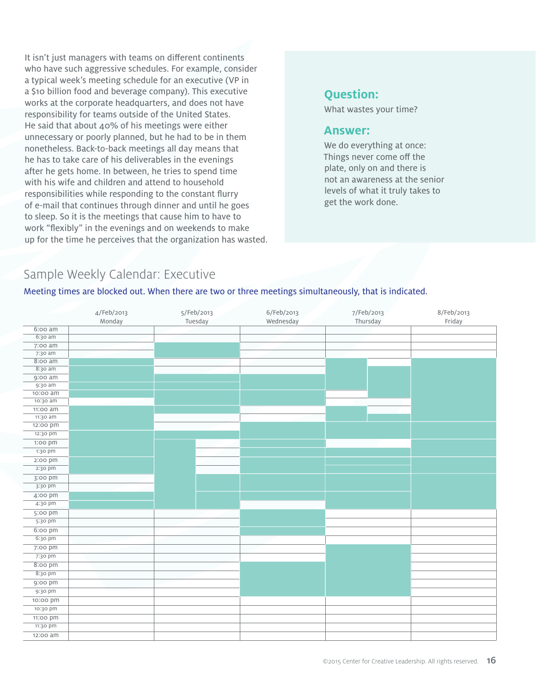It isn't just managers with teams on different continents who have such aggressive schedules. For example, consider a typical week's meeting schedule for an executive (VP in a \$10 billion food and beverage company). This executive works at the corporate headquarters, and does not have responsibility for teams outside of the United States. He said that about 40% of his meetings were either unnecessary or poorly planned, but he had to be in them nonetheless. Back-to-back meetings all day means that he has to take care of his deliverables in the evenings after he gets home. In between, he tries to spend time with his wife and children and attend to household responsibilities while responding to the constant flurry of e-mail that continues through dinner and until he goes to sleep. So it is the meetings that cause him to have to work "flexibly" in the evenings and on weekends to make up for the time he perceives that the organization has wasted.

### **Question:**

What wastes your time?

#### **Answer:**

We do everything at once: Things never come off the plate, only on and there is not an awareness at the senior levels of what it truly takes to get the work done.

### Sample Weekly Calendar: Executive

#### Meeting times are blocked out. When there are two or three meetings simultaneously, that is indicated.

| Thursday<br>Monday<br>Tuesday<br>Wednesday<br>Friday<br>6:00 am<br>6:30 am<br>7:00 am<br>7:30 am<br>8:00 am<br>8:30 am<br>9:00 am<br>9:30 am<br>10:00 am<br>10:30 am<br>11:00 am<br>11:30 am<br>12:00 pm<br>12:30 pm<br>1:00 pm<br>1:30 pm<br>$2:00$ pm<br>2:30 pm<br>$3:00$ pm<br>3:30 pm<br>4:00 pm<br>4:30 pm<br>5:00 pm<br>5:30 pm<br>6:00 pm<br>6:30 pm<br>$7:00$ pm<br>7:30 pm<br>8:00 pm<br>8:30 pm |         | 4/Feb/2013 | 5/Feb/2013 | 6/Feb/2013 | 7/Feb/2013 | 8/Feb/2013 |
|------------------------------------------------------------------------------------------------------------------------------------------------------------------------------------------------------------------------------------------------------------------------------------------------------------------------------------------------------------------------------------------------------------|---------|------------|------------|------------|------------|------------|
|                                                                                                                                                                                                                                                                                                                                                                                                            |         |            |            |            |            |            |
|                                                                                                                                                                                                                                                                                                                                                                                                            |         |            |            |            |            |            |
|                                                                                                                                                                                                                                                                                                                                                                                                            |         |            |            |            |            |            |
|                                                                                                                                                                                                                                                                                                                                                                                                            |         |            |            |            |            |            |
|                                                                                                                                                                                                                                                                                                                                                                                                            |         |            |            |            |            |            |
|                                                                                                                                                                                                                                                                                                                                                                                                            |         |            |            |            |            |            |
|                                                                                                                                                                                                                                                                                                                                                                                                            |         |            |            |            |            |            |
|                                                                                                                                                                                                                                                                                                                                                                                                            |         |            |            |            |            |            |
|                                                                                                                                                                                                                                                                                                                                                                                                            |         |            |            |            |            |            |
|                                                                                                                                                                                                                                                                                                                                                                                                            |         |            |            |            |            |            |
|                                                                                                                                                                                                                                                                                                                                                                                                            |         |            |            |            |            |            |
|                                                                                                                                                                                                                                                                                                                                                                                                            |         |            |            |            |            |            |
|                                                                                                                                                                                                                                                                                                                                                                                                            |         |            |            |            |            |            |
|                                                                                                                                                                                                                                                                                                                                                                                                            |         |            |            |            |            |            |
|                                                                                                                                                                                                                                                                                                                                                                                                            |         |            |            |            |            |            |
|                                                                                                                                                                                                                                                                                                                                                                                                            |         |            |            |            |            |            |
|                                                                                                                                                                                                                                                                                                                                                                                                            |         |            |            |            |            |            |
|                                                                                                                                                                                                                                                                                                                                                                                                            |         |            |            |            |            |            |
|                                                                                                                                                                                                                                                                                                                                                                                                            |         |            |            |            |            |            |
|                                                                                                                                                                                                                                                                                                                                                                                                            |         |            |            |            |            |            |
|                                                                                                                                                                                                                                                                                                                                                                                                            |         |            |            |            |            |            |
|                                                                                                                                                                                                                                                                                                                                                                                                            |         |            |            |            |            |            |
|                                                                                                                                                                                                                                                                                                                                                                                                            |         |            |            |            |            |            |
|                                                                                                                                                                                                                                                                                                                                                                                                            |         |            |            |            |            |            |
|                                                                                                                                                                                                                                                                                                                                                                                                            |         |            |            |            |            |            |
|                                                                                                                                                                                                                                                                                                                                                                                                            |         |            |            |            |            |            |
|                                                                                                                                                                                                                                                                                                                                                                                                            |         |            |            |            |            |            |
|                                                                                                                                                                                                                                                                                                                                                                                                            |         |            |            |            |            |            |
|                                                                                                                                                                                                                                                                                                                                                                                                            |         |            |            |            |            |            |
|                                                                                                                                                                                                                                                                                                                                                                                                            |         |            |            |            |            |            |
|                                                                                                                                                                                                                                                                                                                                                                                                            |         |            |            |            |            |            |
|                                                                                                                                                                                                                                                                                                                                                                                                            | 9:00 pm |            |            |            |            |            |
| 9:30 pm                                                                                                                                                                                                                                                                                                                                                                                                    |         |            |            |            |            |            |
| 10:00 pm                                                                                                                                                                                                                                                                                                                                                                                                   |         |            |            |            |            |            |
| 10:30 pm                                                                                                                                                                                                                                                                                                                                                                                                   |         |            |            |            |            |            |
| 11:00 pm                                                                                                                                                                                                                                                                                                                                                                                                   |         |            |            |            |            |            |
| 11:30 pm                                                                                                                                                                                                                                                                                                                                                                                                   |         |            |            |            |            |            |
| 12:00 am                                                                                                                                                                                                                                                                                                                                                                                                   |         |            |            |            |            |            |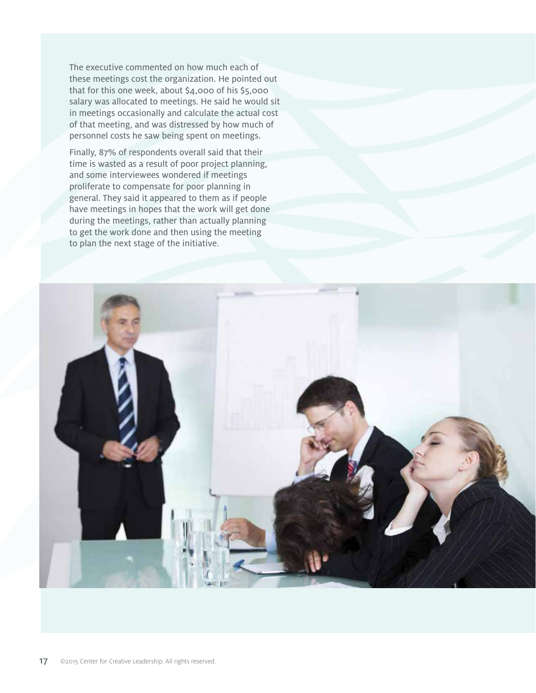The executive commented on how much each of these meetings cost the organization. He pointed out that for this one week, about \$4,000 of his \$5,000 salary was allocated to meetings. He said he would sit in meetings occasionally and calculate the actual cost of that meeting, and was distressed by how much of personnel costs he saw being spent on meetings.

Finally, 87% of respondents overall said that their time is wasted as a result of poor project planning, and some interviewees wondered if meetings proliferate to compensate for poor planning in general. They said it appeared to them as if people have meetings in hopes that the work will get done during the meetings, rather than actually planning to get the work done and then using the meeting to plan the next stage of the initiative.

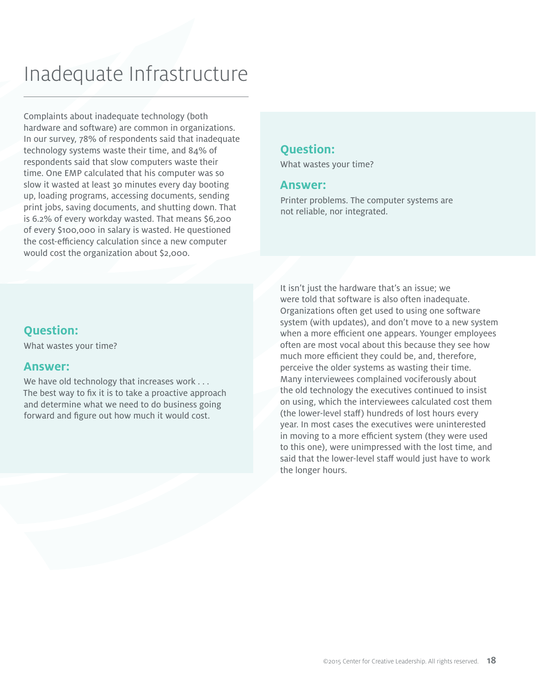# Inadequate Infrastructure

Complaints about inadequate technology (both hardware and software) are common in organizations. In our survey, 78% of respondents said that inadequate technology systems waste their time, and 84% of respondents said that slow computers waste their time. One EMP calculated that his computer was so slow it wasted at least 30 minutes every day booting up, loading programs, accessing documents, sending print jobs, saving documents, and shutting down. That is 6.2% of every workday wasted. That means \$6,200 of every \$100,000 in salary is wasted. He questioned the cost-efficiency calculation since a new computer would cost the organization about \$2,000.

### **Question:**

What wastes your time?

### **Answer:**

Printer problems. The computer systems are not reliable, nor integrated.

### **Question:**

What wastes your time?

#### **Answer:**

We have old technology that increases work . . . The best way to fix it is to take a proactive approach and determine what we need to do business going forward and figure out how much it would cost.

It isn't just the hardware that's an issue; we were told that software is also often inadequate. Organizations often get used to using one software system (with updates), and don't move to a new system when a more efficient one appears. Younger employees often are most vocal about this because they see how much more efficient they could be, and, therefore, perceive the older systems as wasting their time. Many interviewees complained vociferously about the old technology the executives continued to insist on using, which the interviewees calculated cost them (the lower-level staff) hundreds of lost hours every year. In most cases the executives were uninterested in moving to a more efficient system (they were used to this one), were unimpressed with the lost time, and said that the lower-level staff would just have to work the longer hours.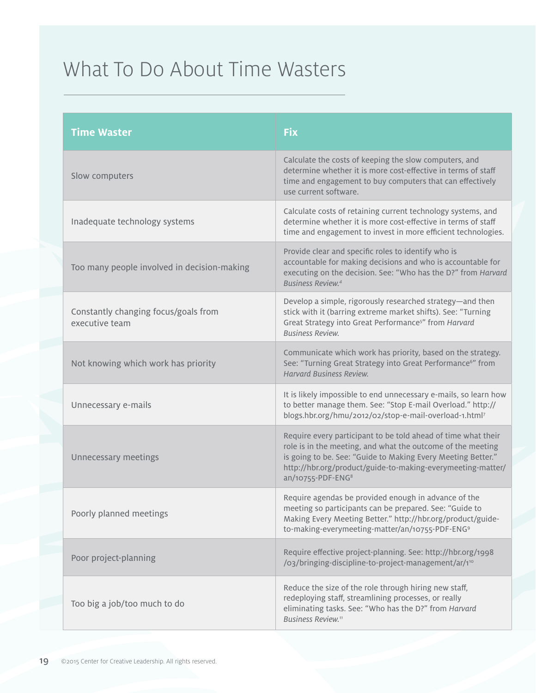# What To Do About Time Wasters

| <b>Time Waster</b>                                     | <b>Fix</b>                                                                                                                                                                                                                                                                                   |  |
|--------------------------------------------------------|----------------------------------------------------------------------------------------------------------------------------------------------------------------------------------------------------------------------------------------------------------------------------------------------|--|
| Slow computers                                         | Calculate the costs of keeping the slow computers, and<br>determine whether it is more cost-effective in terms of staff<br>time and engagement to buy computers that can effectively<br>use current software.                                                                                |  |
| Inadequate technology systems                          | Calculate costs of retaining current technology systems, and<br>determine whether it is more cost-effective in terms of staff<br>time and engagement to invest in more efficient technologies.                                                                                               |  |
| Too many people involved in decision-making            | Provide clear and specific roles to identify who is<br>accountable for making decisions and who is accountable for<br>executing on the decision. See: "Who has the D?" from Harvard<br>Business Review. <sup>4</sup>                                                                         |  |
| Constantly changing focus/goals from<br>executive team | Develop a simple, rigorously researched strategy-and then<br>stick with it (barring extreme market shifts). See: "Turning<br>Great Strategy into Great Performance <sup>5"</sup> from Harvard<br><b>Business Review.</b>                                                                     |  |
| Not knowing which work has priority                    | Communicate which work has priority, based on the strategy.<br>See: "Turning Great Strategy into Great Performance <sup>6</sup> " from<br><b>Harvard Business Review.</b>                                                                                                                    |  |
| Unnecessary e-mails                                    | It is likely impossible to end unnecessary e-mails, so learn how<br>to better manage them. See: "Stop E-mail Overload." http://<br>blogs.hbr.org/hmu/2012/02/stop-e-mail-overload-1.html <sup>7</sup>                                                                                        |  |
| Unnecessary meetings                                   | Require every participant to be told ahead of time what their<br>role is in the meeting, and what the outcome of the meeting<br>is going to be. See: "Guide to Making Every Meeting Better."<br>http://hbr.org/product/guide-to-making-everymeeting-matter/<br>an/10755-PDF-ENG <sup>8</sup> |  |
| Poorly planned meetings                                | Require agendas be provided enough in advance of the<br>meeting so participants can be prepared. See: "Guide to<br>Making Every Meeting Better." http://hbr.org/product/guide-<br>to-making-everymeeting-matter/an/10755-PDF-ENG <sup>9</sup>                                                |  |
| Poor project-planning                                  | Require effective project-planning. See: http://hbr.org/1998<br>/03/bringing-discipline-to-project-management/ar/1 <sup>10</sup>                                                                                                                                                             |  |
| Too big a job/too much to do                           | Reduce the size of the role through hiring new staff,<br>redeploying staff, streamlining processes, or really<br>eliminating tasks. See: "Who has the D?" from Harvard<br>Business Review. <sup>11</sup>                                                                                     |  |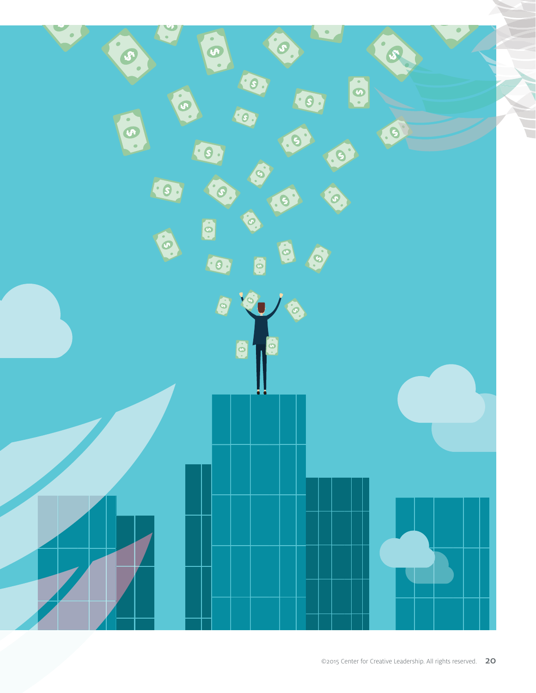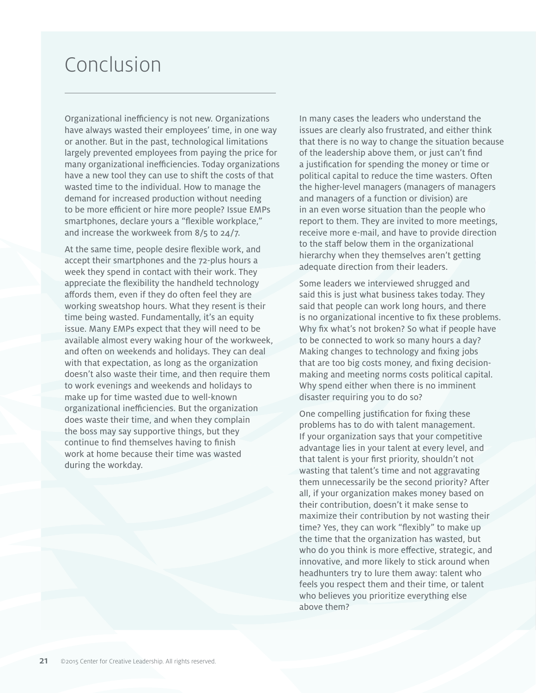## Conclusion

Organizational inefficiency is not new. Organizations have always wasted their employees' time, in one way or another. But in the past, technological limitations largely prevented employees from paying the price for many organizational inefficiencies. Today organizations have a new tool they can use to shift the costs of that wasted time to the individual. How to manage the demand for increased production without needing to be more efficient or hire more people? Issue EMPs smartphones, declare yours a "flexible workplace," and increase the workweek from 8/5 to 24/7.

At the same time, people desire flexible work, and accept their smartphones and the 72-plus hours a week they spend in contact with their work. They appreciate the flexibility the handheld technology affords them, even if they do often feel they are working sweatshop hours. What they resent is their time being wasted. Fundamentally, it's an equity issue. Many EMPs expect that they will need to be available almost every waking hour of the workweek, and often on weekends and holidays. They can deal with that expectation, as long as the organization doesn't also waste their time, and then require them to work evenings and weekends and holidays to make up for time wasted due to well-known organizational inefficiencies. But the organization does waste their time, and when they complain the boss may say supportive things, but they continue to find themselves having to finish work at home because their time was wasted during the workday.

In many cases the leaders who understand the issues are clearly also frustrated, and either think that there is no way to change the situation because of the leadership above them, or just can't find a justification for spending the money or time or political capital to reduce the time wasters. Often the higher-level managers (managers of managers and managers of a function or division) are in an even worse situation than the people who report to them. They are invited to more meetings, receive more e-mail, and have to provide direction to the staff below them in the organizational hierarchy when they themselves aren't getting adequate direction from their leaders.

Some leaders we interviewed shrugged and said this is just what business takes today. They said that people can work long hours, and there is no organizational incentive to fix these problems. Why fix what's not broken? So what if people have to be connected to work so many hours a day? Making changes to technology and fixing jobs that are too big costs money, and fixing decisionmaking and meeting norms costs political capital. Why spend either when there is no imminent disaster requiring you to do so?

One compelling justification for fixing these problems has to do with talent management. If your organization says that your competitive advantage lies in your talent at every level, and that talent is your first priority, shouldn't not wasting that talent's time and not aggravating them unnecessarily be the second priority? After all, if your organization makes money based on their contribution, doesn't it make sense to maximize their contribution by not wasting their time? Yes, they can work "flexibly" to make up the time that the organization has wasted, but who do you think is more effective, strategic, and innovative, and more likely to stick around when headhunters try to lure them away: talent who feels you respect them and their time, or talent who believes you prioritize everything else above them?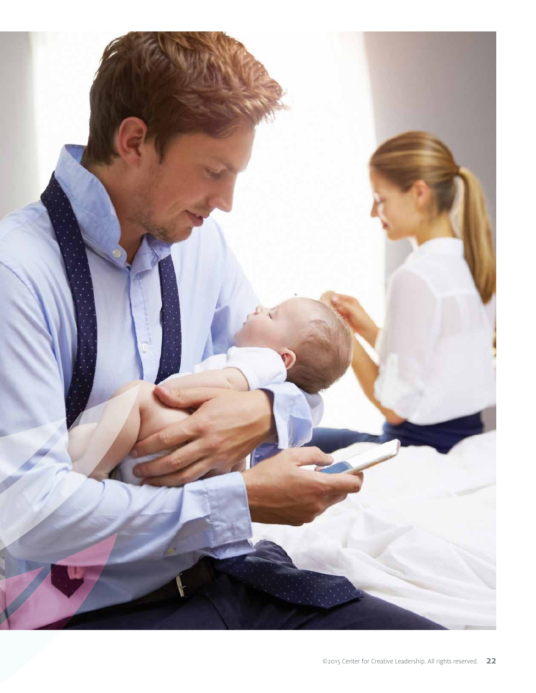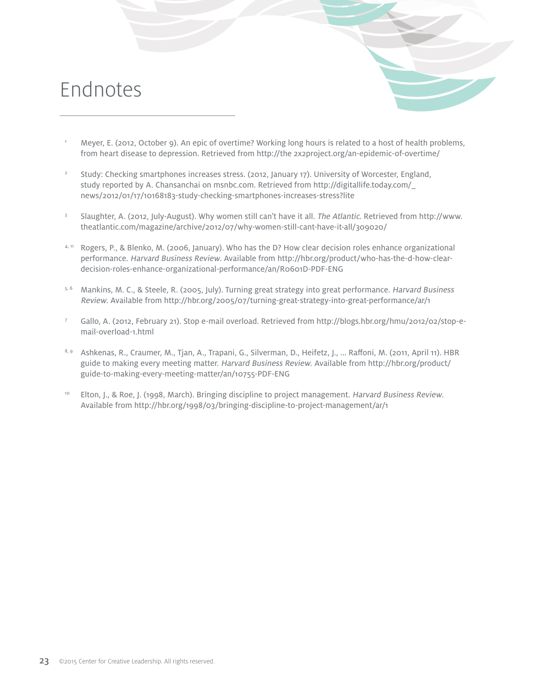# Endnotes

- 1 Meyer, E. (2012, October 9). An epic of overtime? Working long hours is related to a host of health problems, from heart disease to depression. Retrieved from http://the 2x2project.org/an-epidemic-of-overtime/
- 2 Study: Checking smartphones increases stress. (2012, January 17). University of Worcester, England, study reported by A. Chansanchai on msnbc.com. Retrieved from http://digitallife.today.com/\_ news/2012/01/17/10168183-study-checking-smartphones-increases-stress?lite
- 3 Slaughter, A. (2012, July-August). Why women still can't have it all. The Atlantic. Retrieved from http://www. theatlantic.com/magazine/archive/2012/07/why-women-still-cant-have-it-all/309020/
- 4, 11 Rogers, P., & Blenko, M. (2006, January). Who has the D? How clear decision roles enhance organizational performance. Harvard Business Review. Available from http://hbr.org/product/who-has-the-d-how-cleardecision-roles-enhance-organizational-performance/an/R0601D-PDF-ENG
- 5, 6 Mankins, M. C., & Steele, R. (2005, July). Turning great strategy into great performance. Harvard Business Review. Available from http://hbr.org/2005/07/turning-great-strategy-into-great-performance/ar/1
- 7 Gallo, A. (2012, February 21). Stop e-mail overload. Retrieved from http://blogs.hbr.org/hmu/2012/02/stop-email-overload-1.html
- 8,9 Ashkenas, R., Craumer, M., Tjan, A., Trapani, G., Silverman, D., Heifetz, J., ... Raffoni, M. (2011, April 11). HBR guide to making every meeting matter. Harvard Business Review. Available from http://hbr.org/product/ guide-to-making-every-meeting-matter/an/10755-PDF-ENG
- <sup>10</sup> Elton, J., & Roe, J. (1998, March). Bringing discipline to project management. *Harvard Business Review*. Available from http://hbr.org/1998/03/bringing-discipline-to-project-management/ar/1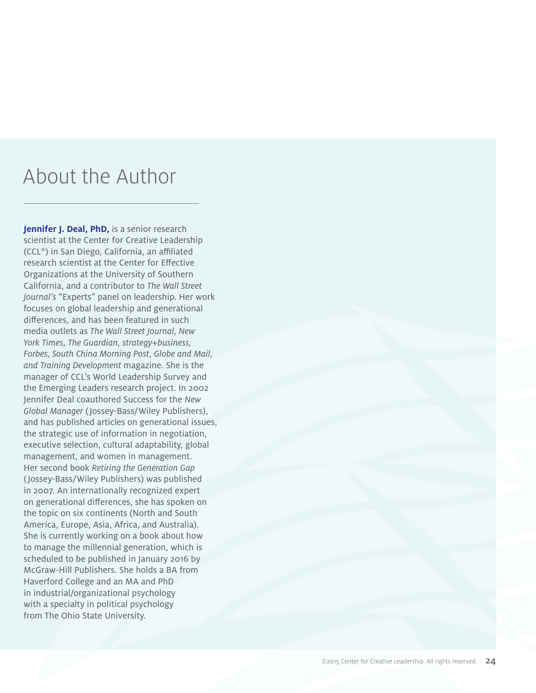## About the Author

**Jennifer J. Deal, PhD,** is a senior research scientist at the Center for Creative Leadership (CCL®) in San Diego, California, an affiliated research scientist at the Center for Effective Organizations at the University of Southern California, and a contributor to *The Wall Street Journal's* "Experts" panel on leadership. Her work focuses on global leadership and generational differences, and has been featured in such media outlets as *The Wall Street Journal, New York Times, The Guardian, strategy+business, Forbes, South China Morning Post, Globe and Mail, and Training Development* magazine. She is the manager of CCL's World Leadership Survey and the Emerging Leaders research project. In 2002 Jennifer Deal coauthored Success for the *New Global Manager* (Jossey-Bass/Wiley Publishers), and has published articles on generational issues, the strategic use of information in negotiation, executive selection, cultural adaptability, global management, and women in management. Her second book *Retiring the Generation Gap* (Jossey-Bass/Wiley Publishers) was published in 2007. An internationally recognized expert on generational differences, she has spoken on the topic on six continents (North and South America, Europe, Asia, Africa, and Australia). She is currently working on a book about how to manage the millennial generation, which is scheduled to be published in January 2016 by McGraw-Hill Publishers. She holds a BA from Haverford College and an MA and PhD in industrial/organizational psychology with a specialty in political psychology from The Ohio State University.